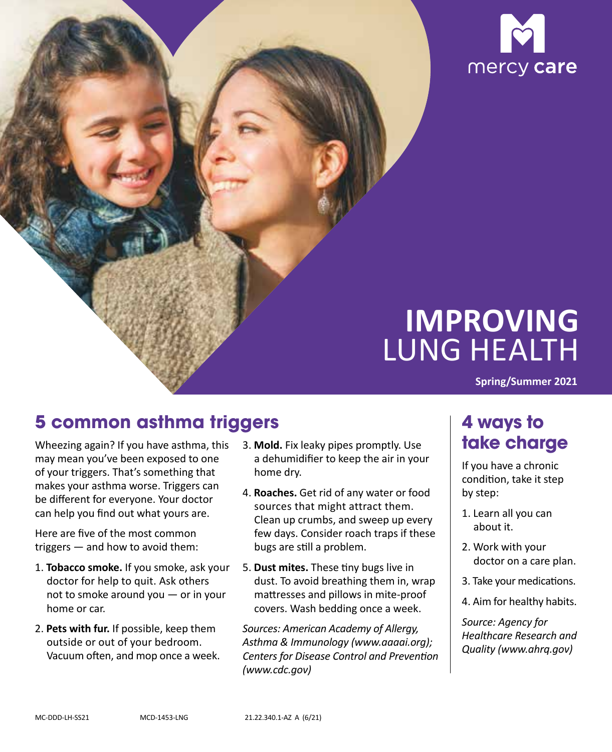

# **IMPROVING**  LUNG HEALTH

**Spring/Summer 2021** 

# **5 common asthma triggers**

Wheezing again? If you have asthma, this may mean you've been exposed to one of your triggers. That's something that makes your asthma worse. Triggers can be different for everyone. Your doctor can help you find out what yours are.

 triggers — and how to avoid them: Here are five of the most common

- 1. **Tobacco smoke.** If you smoke, ask your doctor for help to quit. Ask others not to smoke around you — or in your home or car.
- Vacuum often, and mop once a week. 2. **Pets with fur.** If possible, keep them outside or out of your bedroom.
- 3. **Mold.** Fix leaky pipes promptly. Use a dehumidifier to keep the air in your home dry.
- 4. **Roaches.** Get rid of any water or food sources that might attract them. Clean up crumbs, and sweep up every few days. Consider roach traps if these bugs are still a problem.
- 5. **Dust mites.** These tiny bugs live in dust. To avoid breathing them in, wrap mattresses and pillows in mite-proof covers. Wash bedding once a week.

*Sources: American Academy of Allergy, Asthma & Immunology (www.aaaai.org); Centers for Disease Control and Prevention (www.cdc.gov)* 

# **4 ways to take charge**

If you have a chronic condition, take it step by step:

- 1. Learn all you can about it.
- 2. Work with your doctor on a care plan.
- 3. Take your medications.
- 4. Aim for healthy habits.

*Source: Agency for Healthcare Research and Quality (www.ahrq.gov)*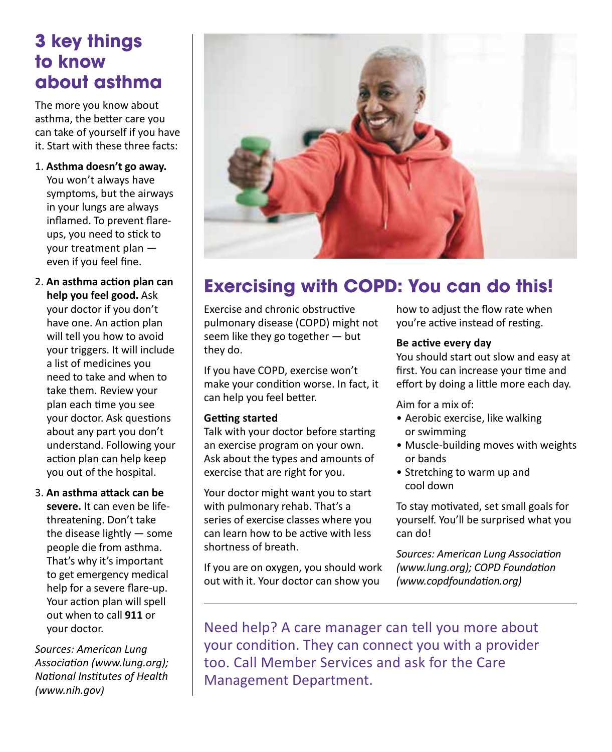### **3 key things to know about asthma**

The more you know about asthma, the better care you can take of yourself if you have it. Start with these three facts:

1. **Asthma doesn't go away.** 

You won't always have symptoms, but the airways in your lungs are always inflamed. To prevent flareups, you need to stick to your treatment plan even if you feel fine.

- 2. **An asthma action plan can help you feel good.** Ask your doctor if you don't have one. An action plan will tell you how to avoid your triggers. It will include a list of medicines you need to take and when to take them. Review your plan each time you see your doctor. Ask questions about any part you don't understand. Following your action plan can help keep you out of the hospital.
- 3. **An asthma attack can be severe.** It can even be lifethreatening. Don't take the disease lightly — some people die from asthma. That's why it's important to get emergency medical help for a severe flare-up. Your action plan will spell out when to call **911** or your doctor.

*Sources: American Lung Association (www.lung.org); National Institutes of Health (www.nih.gov)* 



# **Exercising with COPD: You can do this!**

Exercise and chronic obstructive pulmonary disease (COPD) might not seem like they go together — but they do.

If you have COPD, exercise won't make your condition worse. In fact, it can help you feel better.

#### **Getting started**

Talk with your doctor before starting an exercise program on your own. Ask about the types and amounts of exercise that are right for you.

Your doctor might want you to start with pulmonary rehab. That's a series of exercise classes where you can learn how to be active with less shortness of breath.

If you are on oxygen, you should work out with it. Your doctor can show you

how to adjust the flow rate when you're active instead of resting.

#### **Be active every day**

You should start out slow and easy at first. You can increase your time and effort by doing a little more each day.

Aim for a mix of:

- • Aerobic exercise, like walking or swimming
- • Muscle-building moves with weights or bands
- •  Stretching to warm up and cool down

To stay motivated, set small goals for yourself. You'll be surprised what you can do!

*Sources: American Lung Association (www.lung.org); COPD Foundation (www.copdfoundation.org)* 

Need help? A care manager can tell you more about your condition. They can connect you with a provider too. Call Member Services and ask for the Care Management Department.